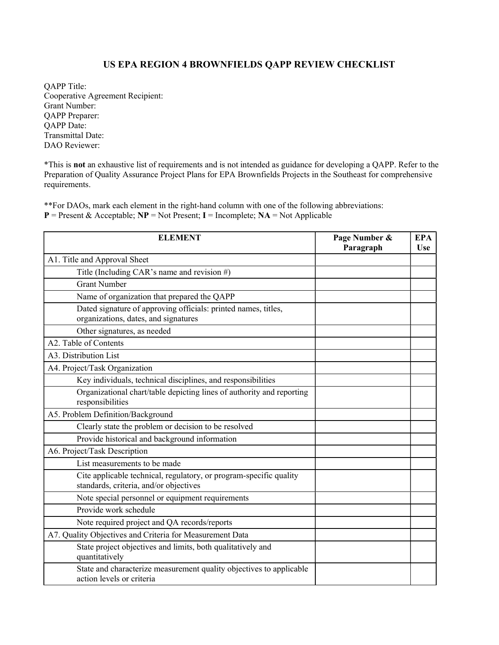## US EPA REGION 4 BROWNFIELDS QAPP REVIEW CHECKLIST

QAPP Title: Cooperative Agreement Recipient: Grant Number: QAPP Preparer: QAPP Date: Transmittal Date: DAO Reviewer:

\*This is not an exhaustive list of requirements and is not intended as guidance for developing a QAPP. Refer to the Preparation of Quality Assurance Project Plans for EPA Brownfields Projects in the Southeast for comprehensive requirements.

\*\*For DAOs, mark each element in the right-hand column with one of the following abbreviations:  $P =$  Present & Acceptable;  $NP =$  Not Present; I = Incomplete;  $NA =$  Not Applicable

| <b>ELEMENT</b>                                                                                               | Page Number &<br>Paragraph | <b>EPA</b><br>Use |
|--------------------------------------------------------------------------------------------------------------|----------------------------|-------------------|
| A1. Title and Approval Sheet                                                                                 |                            |                   |
| Title (Including CAR's name and revision #)                                                                  |                            |                   |
| <b>Grant Number</b>                                                                                          |                            |                   |
| Name of organization that prepared the QAPP                                                                  |                            |                   |
| Dated signature of approving officials: printed names, titles,<br>organizations, dates, and signatures       |                            |                   |
| Other signatures, as needed                                                                                  |                            |                   |
| A2. Table of Contents                                                                                        |                            |                   |
| A3. Distribution List                                                                                        |                            |                   |
| A4. Project/Task Organization                                                                                |                            |                   |
| Key individuals, technical disciplines, and responsibilities                                                 |                            |                   |
| Organizational chart/table depicting lines of authority and reporting<br>responsibilities                    |                            |                   |
| A5. Problem Definition/Background                                                                            |                            |                   |
| Clearly state the problem or decision to be resolved                                                         |                            |                   |
| Provide historical and background information                                                                |                            |                   |
| A6. Project/Task Description                                                                                 |                            |                   |
| List measurements to be made                                                                                 |                            |                   |
| Cite applicable technical, regulatory, or program-specific quality<br>standards, criteria, and/or objectives |                            |                   |
| Note special personnel or equipment requirements                                                             |                            |                   |
| Provide work schedule                                                                                        |                            |                   |
| Note required project and QA records/reports                                                                 |                            |                   |
| A7. Quality Objectives and Criteria for Measurement Data                                                     |                            |                   |
| State project objectives and limits, both qualitatively and<br>quantitatively                                |                            |                   |
| State and characterize measurement quality objectives to applicable<br>action levels or criteria             |                            |                   |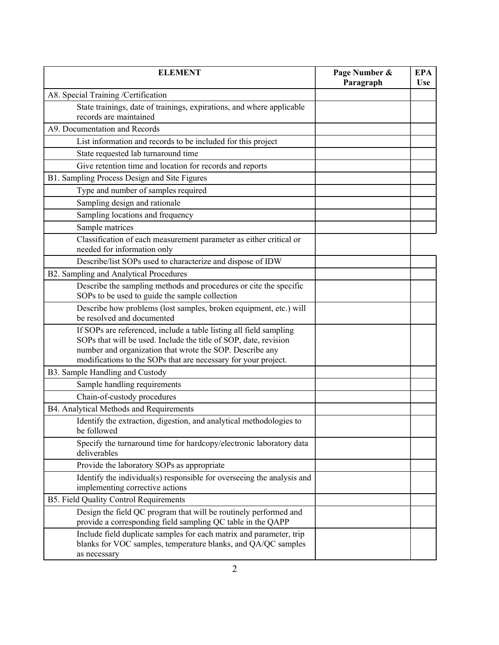| <b>ELEMENT</b>                                                                                                                                                                                                                                                       | Page Number &<br>Paragraph | <b>EPA</b><br><b>Use</b> |
|----------------------------------------------------------------------------------------------------------------------------------------------------------------------------------------------------------------------------------------------------------------------|----------------------------|--------------------------|
| A8. Special Training /Certification                                                                                                                                                                                                                                  |                            |                          |
| State trainings, date of trainings, expirations, and where applicable<br>records are maintained                                                                                                                                                                      |                            |                          |
| A9. Documentation and Records                                                                                                                                                                                                                                        |                            |                          |
| List information and records to be included for this project                                                                                                                                                                                                         |                            |                          |
| State requested lab turnaround time                                                                                                                                                                                                                                  |                            |                          |
| Give retention time and location for records and reports                                                                                                                                                                                                             |                            |                          |
| B1. Sampling Process Design and Site Figures                                                                                                                                                                                                                         |                            |                          |
| Type and number of samples required                                                                                                                                                                                                                                  |                            |                          |
| Sampling design and rationale                                                                                                                                                                                                                                        |                            |                          |
| Sampling locations and frequency                                                                                                                                                                                                                                     |                            |                          |
| Sample matrices                                                                                                                                                                                                                                                      |                            |                          |
| Classification of each measurement parameter as either critical or<br>needed for information only                                                                                                                                                                    |                            |                          |
| Describe/list SOPs used to characterize and dispose of IDW                                                                                                                                                                                                           |                            |                          |
| B2. Sampling and Analytical Procedures                                                                                                                                                                                                                               |                            |                          |
| Describe the sampling methods and procedures or cite the specific<br>SOPs to be used to guide the sample collection                                                                                                                                                  |                            |                          |
| Describe how problems (lost samples, broken equipment, etc.) will<br>be resolved and documented                                                                                                                                                                      |                            |                          |
| If SOPs are referenced, include a table listing all field sampling<br>SOPs that will be used. Include the title of SOP, date, revision<br>number and organization that wrote the SOP. Describe any<br>modifications to the SOPs that are necessary for your project. |                            |                          |
| B3. Sample Handling and Custody                                                                                                                                                                                                                                      |                            |                          |
| Sample handling requirements                                                                                                                                                                                                                                         |                            |                          |
| Chain-of-custody procedures                                                                                                                                                                                                                                          |                            |                          |
| B4. Analytical Methods and Requirements                                                                                                                                                                                                                              |                            |                          |
| Identify the extraction, digestion, and analytical methodologies to<br>be followed                                                                                                                                                                                   |                            |                          |
| Specify the turnaround time for hardcopy/electronic laboratory data<br>deliverables                                                                                                                                                                                  |                            |                          |
| Provide the laboratory SOPs as appropriate                                                                                                                                                                                                                           |                            |                          |
| Identify the individual(s) responsible for overseeing the analysis and<br>implementing corrective actions                                                                                                                                                            |                            |                          |
| B5. Field Quality Control Requirements                                                                                                                                                                                                                               |                            |                          |
| Design the field QC program that will be routinely performed and<br>provide a corresponding field sampling QC table in the QAPP                                                                                                                                      |                            |                          |
| Include field duplicate samples for each matrix and parameter, trip<br>blanks for VOC samples, temperature blanks, and QA/QC samples<br>as necessary                                                                                                                 |                            |                          |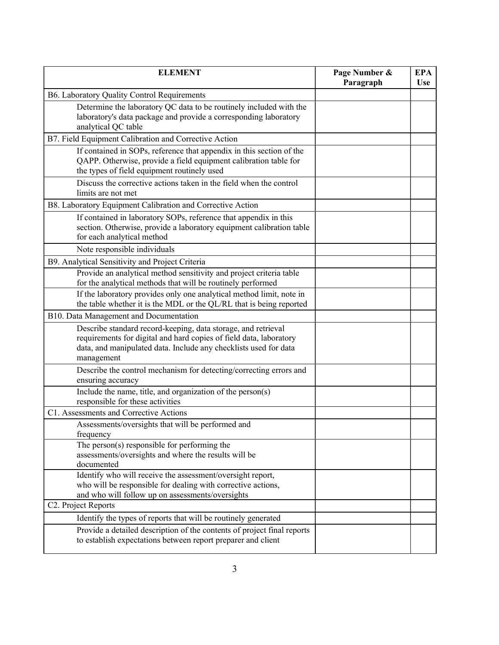| <b>ELEMENT</b>                                                                                                                                                                                                        | Page Number &<br>Paragraph | <b>EPA</b><br><b>Use</b> |
|-----------------------------------------------------------------------------------------------------------------------------------------------------------------------------------------------------------------------|----------------------------|--------------------------|
| B6. Laboratory Quality Control Requirements                                                                                                                                                                           |                            |                          |
| Determine the laboratory QC data to be routinely included with the<br>laboratory's data package and provide a corresponding laboratory<br>analytical QC table                                                         |                            |                          |
| B7. Field Equipment Calibration and Corrective Action                                                                                                                                                                 |                            |                          |
| If contained in SOPs, reference that appendix in this section of the<br>QAPP. Otherwise, provide a field equipment calibration table for<br>the types of field equipment routinely used                               |                            |                          |
| Discuss the corrective actions taken in the field when the control<br>limits are not met                                                                                                                              |                            |                          |
| B8. Laboratory Equipment Calibration and Corrective Action                                                                                                                                                            |                            |                          |
| If contained in laboratory SOPs, reference that appendix in this<br>section. Otherwise, provide a laboratory equipment calibration table<br>for each analytical method                                                |                            |                          |
| Note responsible individuals                                                                                                                                                                                          |                            |                          |
| B9. Analytical Sensitivity and Project Criteria                                                                                                                                                                       |                            |                          |
| Provide an analytical method sensitivity and project criteria table<br>for the analytical methods that will be routinely performed                                                                                    |                            |                          |
| If the laboratory provides only one analytical method limit, note in<br>the table whether it is the MDL or the QL/RL that is being reported                                                                           |                            |                          |
| B10. Data Management and Documentation                                                                                                                                                                                |                            |                          |
| Describe standard record-keeping, data storage, and retrieval<br>requirements for digital and hard copies of field data, laboratory<br>data, and manipulated data. Include any checklists used for data<br>management |                            |                          |
| Describe the control mechanism for detecting/correcting errors and<br>ensuring accuracy                                                                                                                               |                            |                          |
| Include the name, title, and organization of the person(s)<br>responsible for these activities                                                                                                                        |                            |                          |
| C1. Assessments and Corrective Actions                                                                                                                                                                                |                            |                          |
| Assessments/oversights that will be performed and<br>frequency                                                                                                                                                        |                            |                          |
| The person(s) responsible for performing the<br>assessments/oversights and where the results will be<br>documented                                                                                                    |                            |                          |
| Identify who will receive the assessment/oversight report,<br>who will be responsible for dealing with corrective actions,<br>and who will follow up on assessments/oversights                                        |                            |                          |
| C2. Project Reports                                                                                                                                                                                                   |                            |                          |
| Identify the types of reports that will be routinely generated                                                                                                                                                        |                            |                          |
| Provide a detailed description of the contents of project final reports<br>to establish expectations between report preparer and client                                                                               |                            |                          |